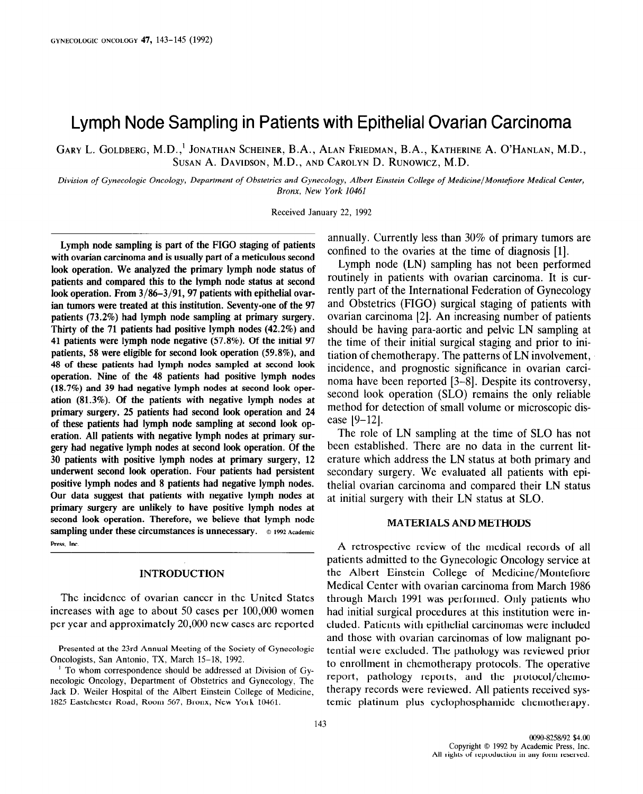# Lymph Node Sampling in Patients with Epithelial Ovarian Carcinoma

GARY L. GOLDBERG, M.D.,' JONATHAN SCHEINER, B.A., ALAN FRIEDMAN, B.A., KATHERINE A. O'HANLAN, M.D., SUSAN A. DAVIDSON, M.D., AND CAROLYN D. RUNOWICZ, M.D.

Division of Gynecologic Oncology, Department of Obstetrics and Gynecology, Albert Einstein College of Medicine/Montefiore Medical Center, Bronx, New York 10461

Received January 22, 1992

Lymph node sampling is part of the FIG0 staging of patients with ovarian carcinoma and is usually part of a meticulous second look operation. We analyzed the primary lymph node status of patients and compared this to the lymph node status at second look operation. From  $3/86-3/91$ , 97 patients with epithelial ovarian tumors were treated at this institution. Seventy-one of the 97 patients (73.2%) had lymph node sampling at primary surgery. Thirty of the 71 patients had positive lymph nodes (42.2%) and 41 patients were lymph node negative (57.8%). Of the initial 97 patients, 58 were eligible for second look operation (59.8%), and 48 of these patients had lymph nodes sampled at second look operation. Nine of the 48 patients had positive lymph nodes (18.7%) and 39 had negative lymph nodes at second look operation (81.3%). Of the patients with negative lymph nodes at primary surgery, 25 patients had second look operation and 24 of these patients had lymph node sampling at second look operation. All patients with negative lymph nodes at primary surgery had negative lymph nodes at second look operation. Of the 30 patients with positive lymph nodes at primary surgery, 12 underwent second look operation. Four patients had persistent positive lymph nodes and 8 patients had negative lymph nodes. Our data suggest that patients with negative lymph nodes at primary surgery are unlikely to have positive lymph nodes at second look operation. Therefore, we believe that lymph node sampling under these circumstances is unnecessary. © 1992 Academic Press, Inc.

# INTRODUCTION

The incidence of ovarian cancer in the United States increases with age to about 50 cases per 100,000 women per year and approximately 20,000 new cases are reported

Presented at the 23rd Annual Meeting of the Society of Gynecologic resented at the 2510 Annual Meeting of the Society  $\mu$  To whom contributed at  $\Lambda$ , which is  $15$  and  $17$ .

necessary of Observation Correspondence should be addressed at Division of Oynecologic Oncology, Department of Obstetrics and Gynecology, The Jack D. Weiler Hospital of the Albert Einstein College of Medicine, 1825 Eastchester Road, Room 567, Bronx, New York 10461.

annually. Currently less than 30% of primary tumors are confined to the ovaries at the time of diagnosis [l].

Lymph node (LN) sampling has not been performed routinely in patients with ovarian carcinoma. It is currently part of the International Federation of Gynecology and Obstetrics (FIGO) surgical staging of patients with ovarian carcinoma [2]. An increasing number of patients should be having para-aortic and pelvic LN sampling at the time of their initial surgical staging and prior to initiation of chemotherapy. The patterns of LN involvement, incidence, and prognostic significance in ovarian carcinoma have been reported [3-81. Despite its controversy, second look operation (SLO) remains the only reliable method for detection of small volume or microscopic disease [9-12].

The role of LN sampling at the time of SLO has not been established. There are no data in the current literature which address the LN status at both primary and secondary surgery. We evaluated all patients with epithelial ovarian carcinoma and compared their LN status at initial surgery with their LN status at SLO.

# MATERIALS AND METHODS

A retrospective review of the medical records of all patients admitted to the Gynecologic Oncology service at the Albert Einstein College of Medicine/Montefiore Medical Center with ovarian carcinoma from March 1986 through March 1991 was performed. Only patients who had initial surgical procedures at this institution were included. Patients with epithelial carcinomas were included and those with ovarian carcinomas of low malignant potential were excluded. The pathology was reviewed prior tomar were exercice. The pathology was reviewed prior to emblancia in chemomerapy protocols. The operator teport, pathology reports, and the protocol/enemotherapy records were reviewed. All patients received sy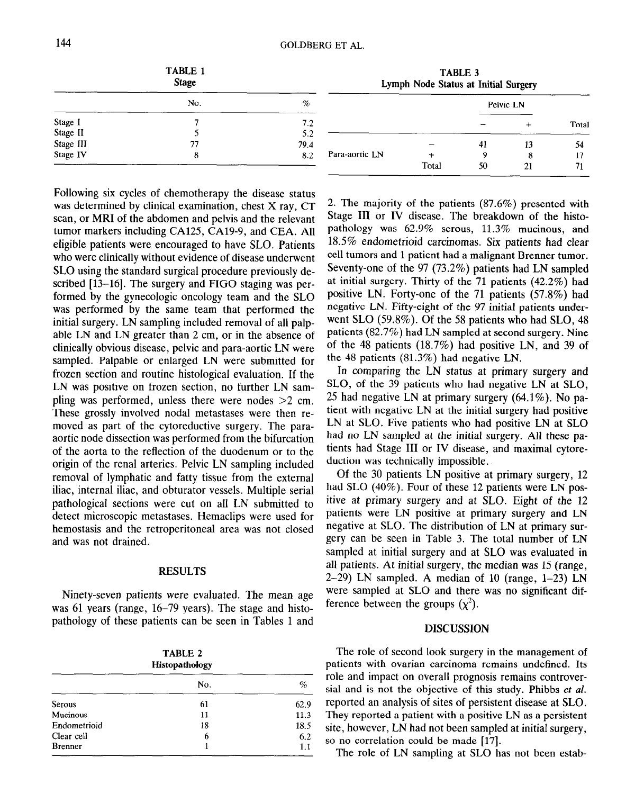|           | <b>TABLE 1</b><br><b>Stage</b> |      | TABLE 3<br>Lymph Node Status at Initial Surgery |       |    |           |       |
|-----------|--------------------------------|------|-------------------------------------------------|-------|----|-----------|-------|
|           | No.                            | %    |                                                 |       |    | Pelvic LN |       |
| Stage I   |                                | 7.2  |                                                 |       |    |           | Total |
| Stage II  |                                | 5.2  |                                                 |       |    |           |       |
| Stage III |                                | 79.4 |                                                 |       | 41 | 13        | 54    |
| Stage IV  |                                | 8.2  | Para-aortic LN                                  |       | 9  |           | 17    |
|           |                                |      |                                                 | Total | 50 | 21        | 71    |

was determined by clinical examination, chest X ray, CT scan, or MRI of the abdomen and pelvis and the relevant tumor markers including CA125, CA19-9, and CEA. All eligible patients were encouraged to have SLO. Patients who were clinically without evidence of disease underwent SLO using the standard surgical procedure previously described [13-16]. The surgery and FIGO staging was performed by the gynecologic oncology team and the SLO was performed by the same team that performed the initial surgery. LN sampling included removal of all palpable LN and LN greater than 2 cm, or in the absence of clinically obvious disease, pelvic and para-aortic LN were sampled. Palpable or enlarged LN were submitted for frozen section and routine histological evaluation. If the LN was positive on frozen section, no further LN sampling was performed, unless there were nodes  $>2$  cm. These grossly involved nodal metastases were then removed as part of the cytoreductive surgery. The paraaortic node dissection was performed from the bifurcation of the aorta to the reflection of the duodenum or to the origin of the renal arteries. Pelvic LN sampling included removal of lymphatic and fatty tissue from the external iliac, internal iliac, and obturator vessels. Multiple serial pathological sections were cut on all LN submitted to detect microscopic metastases. Hemaclips were used for hemostasis and the retroperitoneal area was not closed and was not drained.

Following six cycles of chemotherapy the disease status

# RESULTS

Ninety-seven patients were evaluated. The mean age where 61 years were evaluated. The mean ago was 61 years (range, 16–79 years). The stage and histo-<br>pathology of these patients can be seen in Tables 1 and

| TABLE 2<br>Histopathology |     |      |  |  |
|---------------------------|-----|------|--|--|
|                           | No. | %    |  |  |
| <b>Serous</b>             | 61  | 62.9 |  |  |
| Mucinous                  | 11  | 11.3 |  |  |
| Endometrioid              | 18  | 18.5 |  |  |
| Clear cell                | 6   | 6.2  |  |  |
| <b>Brenner</b>            |     | 11   |  |  |

2. The majority of the patients (87.6%) presented with Stage III or IV disease. The breakdown of the histopathology was  $62.9\%$  serous,  $11.3\%$  mucinous, and 18.5% endometrioid carcinomas. Six patients had clear cell tumors and 1 patient had a malignant Brenner tumor, Seventy-one of the 97 (73.2%) patients had LN sampled at initial surgery. Thirty of the 71 patients (42.2%) had positive LN. Forty-one of the 71 patients (57.8%) had negative LN. Fifty-eight of the 97 initial patients underwent SLO (59.8%). Of the 58 patients who had SLO, 48 patients (82.7%) had LN sampled at second surgery. Nine of the 48 patients (18.7%) had positive LN, and 39 of the 48 patients (81.3%) had negative LN.

In comparing the LN status at primary surgery and SLO, of the 39 patients who had negative LN at SLO, 25 had negative LN at primary surgery (64.1%). No patient with negative LN at the initial surgery had positive LN at SLO. Five patients who had positive LN at SLO had no LN sampled at the initial surgery. All these patients had Stage III or IV disease, and maximal cytoreduction was technically impossible.

Of the 30 patients LN positive at primary surgery, 12 had SLO (40%). Four of these 12 patients were LN positive at primary surgery and at SLO. Eight of the 12 patients were LN positive at primary surgery and LN negative at SLO. The distribution of LN at primary surgery can be seen in Table 3. The total number of LN sampled at initial surgery and at SLO was evaluated in all patients. At initial surgery, the median was 15 (range,  $2-29$ ) LN sampled. A median of 10 (range,  $1-23$ ) LN were sampled at SLO and there was no significant difference between the groups  $(\chi^2)$ .

## DISCUSSION

 $T$  role of second look surgery in the management of  $\mathcal{L}$ parties to be only to be an angely in the management of patients with ovarian carcinoma remains undefined. Its role and impact on overall prognosis remains controversial and is not the objective of this study. Phibbs et al. reported an analysis of sites of persistent disease at SLO. They reported a patient with a positive LN as a persistent site, however, LN had not been sampled at initial surgery, So no correlation could be made [17].<br>The role of LN sampling at SLO has not been estab-